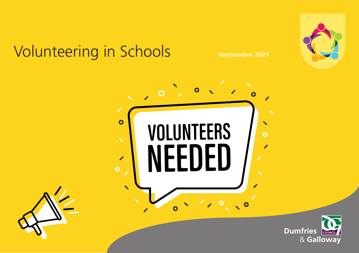# Volunteering in Schools September 2021





**COUNCIL**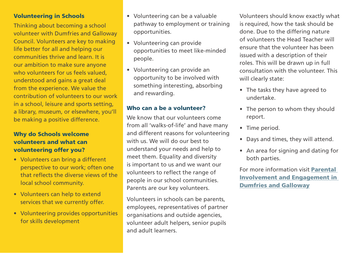### Volunteering in Schools

Thinking about becoming a school volunteer with Dumfries and Galloway Council. Volunteers are key to making life better for all and helping our communities thrive and learn. It is our ambition to make sure anyone who volunteers for us feels valued. understood and gains a great deal from the experience. We value the contribution of volunteers to our work in a school, leisure and sports setting, a library, museum, or elsewhere, you'll be making a positive difference.

## Why do Schools welcome volunteers and what can volunteering offer you?

- Volunteers can bring a different perspective to our work; often one that reflects the diverse views of the local school community.
- Volunteers can help to extend services that we currently offer.
- Volunteering provides opportunities for skills development
- Volunteering can be a valuable pathway to employment or training opportunities.
- Volunteering can provide opportunities to meet like-minded people.
- Volunteering can provide an opportunity to be involved with something interesting, absorbing and rewarding.

#### Who can a be a volunteer?

We know that our volunteers come from all 'walks-of-life' and have many and different reasons for volunteering with us. We will do our best to understand your needs and help to meet them. Equality and diversity is important to us and we want our volunteers to reflect the range of people in our school communities. Parents are our key volunteers.

Volunteers in schools can be parents, employees, representatives of partner organisations and outside agencies, volunteer adult helpers, senior pupils and adult learners.

Volunteers should know exactly what is required, how the task should be done. Due to the differing nature of volunteers the Head Teacher will ensure that the volunteer has been issued with a description of their roles. This will be drawn up in full consultation with the volunteer. This will clearly state:

- The tasks they have agreed to undertake.
- The person to whom they should report.
- Time period.
- Days and times, they will attend.
- An area for signing and dating for both parties.

For more information visit [Parental](https://www.dumgal.gov.uk/article/17608/Parental-Involvement)  [Involvement and Engagement in](https://www.dumgal.gov.uk/article/17608/Parental-Involvement)  [Dumfries and Galloway](https://www.dumgal.gov.uk/article/17608/Parental-Involvement)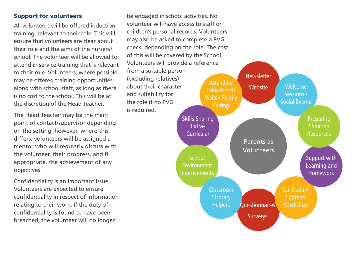### Support for volunteers

All volunteers will be offered induction training, relevant to their role. This will ensure that volunteers are clear about their role and the aims of the nursery/ school. The volunteer will be allowed to attend in service training that is relevant to their role. Volunteers, where possible, may be offered training opportunities along with school staff, as long as there is no cost to the school. This will be at the discretion of the Head Teacher.

The Head Teacher may be the main point of contact/supervisor depending on the setting, however, where this differs, volunteers will be assigned a mentor who will regularly discuss with the volunteer, their progress, and if appropriate, the achievement of any objectives.

Confidentiality is an important issue. Volunteers are expected to ensure confidentiality in respect of information relating to their work. If the duty of confidentiality is found to have been breached, the volunteer will no longer

be engaged in school activities. No volunteer will have access to staff or children's personal records. Volunteers may also be asked to complete a PVG check, depending on the role. The cost of this will be covered by the School. Volunteers will provide a reference from a suitable person (excluding relatives) about their character and suitability for the role if no PVG is required.